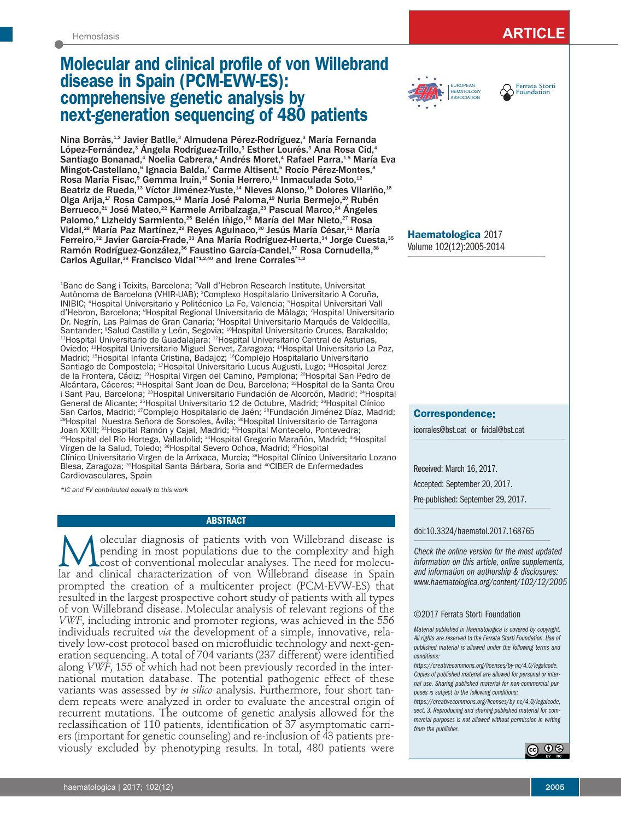# **Molecular and clinical profile of von Willebrand disease in Spain (PCM-EVW-ES): comprehensive genetic analysis by next-generation sequencing of 480 patients**

Nina Borràs,<sup>1,2</sup> Javier Batlle,<sup>3</sup> Almudena Pérez-Rodríguez,<sup>3</sup> María Fernanda López-Fernández,<sup>3</sup> Ángela Rodríguez-Trillo,<sup>3</sup> Esther Lourés,<sup>3</sup> Ana Rosa Cid,<sup>4</sup> Santiago Bonanad,<sup>4</sup> Noelia Cabrera,<sup>4</sup> Andrés Moret,<sup>4</sup> Rafael Parra,<sup>1,5</sup> María Eva Mingot-Castellano,<sup>s</sup> Ignacia Balda,<sup>7</sup> Carme Altisent,<sup>s</sup> Rocío Pérez-Montes,<sup>s</sup> Rosa María Fisac,ª Gemma Iruín,<del>1</del>º Sonia Herrero,<del>11</del> Inmaculada Soto,<del>12</del> Beatriz de Rueda, $^{\text{13}}$  Víctor Jiménez-Yuste, $^{\text{14}}$  Nieves Alonso, $^{\text{15}}$  Dolores Vilariño, $^{\text{16}}$ Olga Arija,<sup>17</sup> Rosa Campos,<sup>18</sup> María José Paloma,<sup>19</sup> Nuria Bermejo,<sup>20</sup> Rubén Berrueco,<sup>21</sup> José Mateo,<sup>22</sup> Karmele Arribalzaga,<sup>23</sup> Pascual Marco,<sup>24</sup> Ángeles Palomo,<sup>6</sup> Lizheidy Sarmiento,<sup>25</sup> Belén Iñigo,<sup>26</sup> María del Mar Nieto,<sup>27</sup> Rosa Vidal,<sup>28</sup> María Paz Martínez,<sup>29</sup> Reyes Aguinaco,<sup>30</sup> Jesús María César,<sup>31</sup> María Ferreiro,<sup>32</sup> Javier García-Frade,<sup>33</sup> Ana María Rodríguez-Huerta,<sup>34</sup> Jorge Cuesta,<sup>35</sup> Ramón Rodríguez-González,<sup>36</sup> Faustino García-Candel,<sup>37</sup> Rosa Cornudella,<sup>38</sup> Carlos Aguilar,<sup>39</sup> Francisco Vidal\*1,2,40</sup> and Irene Corrales\*1,2

1 Banc de Sang i Teixits, Barcelona; 2 Vall d'Hebron Research Institute, Universitat Autònoma de Barcelona (VHIR-UAB); 3 Complexo Hospitalario Universitario A Coruña, INIBIC; 4 Hospital Universitario y Politécnico La Fe, Valencia; 5 Hospital Universitari Vall d'Hebron, Barcelona; <sup>e</sup>Hospital Regional Universitario de Málaga; <sup>7</sup>Hospital Universitario Dr. Negrín, Las Palmas de Gran Canaria; <sup>s</sup>Hospital Universitario Marqués de Valdecilla, Santander; <sup>9</sup>Salud Castilla y León, Segovia; <sup>10</sup>Hospital Universitario Cruces, Barakaldo; Santander; <sup>s</sup>Salud Castilla y León, Segovia; <sup>10</sup>Hospital Universitario Cruces, Barakaldo;<br><sup>11</sup>Hospital Universitario de Guadalajara; <sup>12</sup>Hospital Universitario Central de Asturias, Oviedo; 13Hospital Universitario Miguel Servet, Zaragoza; 14Hospital Universitario La Paz, Madrid; 15Hospital Infanta Cristina, Badajoz; 16Complejo Hospitalario Universitario Santiago de Compostela; 17Hospital Universitario Lucus Augusti, Lugo; 18Hospital Jerez de la Frontera, Cádiz; 19Hospital Virgen del Camino, Pamplona; 20Hospital San Pedro de Alcántara, Cáceres; 21Hospital Sant Joan de Deu, Barcelona; 22Hospital de la Santa Creu i Sant Pau, Barcelona; <sup>23</sup>Hospital Universitario Fundación de Alcorcón, Madrid; <sup>24</sup>Hospital General de Alicante; <sup>25</sup>Hospital Universitario 12 de Octubre, Madrid; <sup>26</sup>Hospital Clínico<br>San Carlos, Madrid; <sup>27</sup>Complejo Hospitalario de Jaén; <sup>28</sup>Fundación Jiménez Díaz, Madrid; San Carlos, Madrid; <sup>27</sup>Complejo Hospitalario de Jaén; <sup>28</sup>Fundación Jiménez Díaz, Madrid;<br><sup>29</sup>Hospital Nuestra Señora de Sonsoles, Ávila; <sup>30</sup>Hospital Universitario de Tarragona Joan XXIII; <sup>31</sup>Hospital Ramón y Cajal, Madrid; <sup>32</sup>Hospital Montecelo, Pontevedra;<br><sup>33</sup>Hospital del Río Hortega, Valladolid; <sup>34</sup>Hospital Gregorio Marañón, Madrid; <sup>35</sup>Hospital Virgen de la Salud, Toledo; 36Hospital Severo Ochoa, Madrid; 37Hospital Clínico Universitario Virgen de la Arrixaca, Murcia; 38Hospital Clínico Universitario Lozano Blesa, Zaragoza; 39Hospital Santa Bárbara, Soria and 40CIBER de Enfermedades Cardiovasculares, Spain

*\*IC and FV contributed equally to this work* 

#### **ABSTRACT**

M olecular diagnosis of patients with von Willebrand disease is<br>pending in most populations due to the complexity and high<br>lar and clinical characterization of von Willebrand disease in Spain olecular diagnosis of patients with von Willebrand disease is pending in most populations due to the complexity and high cost of conventional molecular analyses. The need for molecuprompted the creation of a multicenter project (PCM-EVW-ES) that resulted in the largest prospective cohort study of patients with all types of von Willebrand disease. Molecular analysis of relevant regions of the *VWF*, including intronic and promoter regions, was achieved in the 556 individuals recruited *via* the development of a simple, innovative, relatively low-cost protocol based on microfluidic technology and next-generation sequencing. A total of 704 variants (237 different) were identified along *VWF*, 155 of which had not been previously recorded in the international mutation database. The potential pathogenic effect of these variants was assessed by *in silico* analysis. Furthermore, four short tandem repeats were analyzed in order to evaluate the ancestral origin of recurrent mutations. The outcome of genetic analysis allowed for the reclassification of 110 patients, identification of 37 asymptomatic carriers (important for genetic counseling) and re-inclusion of 43 patients previously excluded by phenotyping results. In total, 480 patients were





**Haematologica** 2017 Volume 102(12):2005-2014

#### **Correspondence:**

icorrales@bst.cat or fvidal@bst.cat

Received: March 16, 2017. Accepted: September 20, 2017. Pre-published: September 29, 2017.

#### doi:10.3324/haematol.2017.168765

*Check the online version for the most updated information on this article, online supplements, and information on authorship & disclosures: www.haematologica.org/content/102/12/2005*

#### ©2017 Ferrata Storti Foundation

*Material published in Haematologica is covered by copyright. All rights are reserved to the Ferrata Storti Foundation. Use of published material is allowed under the following terms and conditions:* 

*https://creativecommons.org/licenses/by-nc/4.0/legalcode. Copies of published material are allowed for personal or internal use. Sharing published material for non-commercial purposes is subject to the following conditions:* 

*https://creativecommons.org/licenses/by-nc/4.0/legalcode, sect. 3. Reproducing and sharing published material for commercial purposes is not allowed without permission in writing from the publisher.*

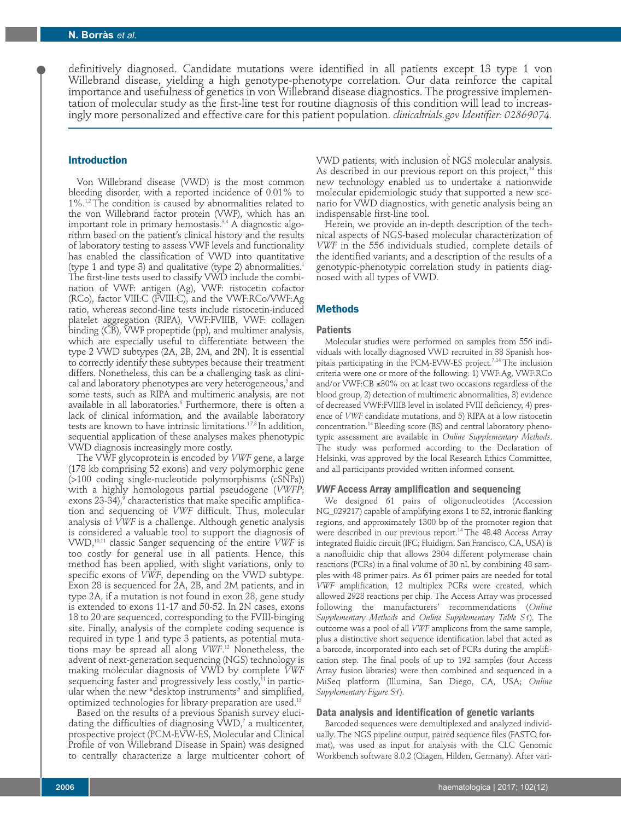definitively diagnosed. Candidate mutations were identified in all patients except 13 type 1 von Willebrand disease, yielding a high genotype-phenotype correlation. Our data reinforce the capital importance and usefulness of genetics in von Willebrand disease diagnostics. The progressive implementation of molecular study as the first-line test for routine diagnosis of this condition will lead to increasingly more personalized and effective care for this patient population. *clinicaltrials.gov Identifier: 02869074.* 

## **Introduction**

Von Willebrand disease (VWD) is the most common bleeding disorder, with a reported incidence of 0.01% to 1%.<sup>1,2</sup> The condition is caused by abnormalities related to the von Willebrand factor protein (VWF), which has an important role in primary hemostasis.<sup>3,4</sup> A diagnostic algorithm based on the patient's clinical history and the results of laboratory testing to assess VWF levels and functionality has enabled the classification of VWD into quantitative (type 1 and type 3) and qualitative (type 2) abnormalities.<sup>1</sup> The first-line tests used to classify VWD include the combination of VWF: antigen (Ag), VWF: ristocetin cofactor (RCo), factor VIII:C (FVIII:C), and the VWF:RCo/VWF:Ag ratio, whereas second-line tests include ristocetin-induced platelet aggregation (RIPA), VWF:FVIIIB, VWF: collagen binding (CB), VWF propeptide (pp), and multimer analysis, which are especially useful to differentiate between the type 2 VWD subtypes (2A, 2B, 2M, and 2N). It is essential to correctly identify these subtypes because their treatment differs. Nonetheless, this can be a challenging task as clinical and laboratory phenotypes are very heterogeneous,<sup>5</sup> and some tests, such as RIPA and multimeric analysis, are not available in all laboratories.<sup>6</sup> Furthermore, there is often a lack of clinical information, and the available laboratory tests are known to have intrinsic limitations.<sup>1,7,8</sup> In addition, sequential application of these analyses makes phenotypic VWD diagnosis increasingly more costly.

The VWF glycoprotein is encoded by *VWF* gene, a large (178 kb comprising 52 exons) and very polymorphic gene (>100 coding single-nucleotide polymorphisms (cSNPs)) with a highly homologous partial pseudogene (*VWFP*; exons  $23-34$ ),<sup>9</sup> characteristics that make specific amplification and sequencing of *VWF* difficult. Thus, molecular analysis of *VWF* is a challenge. Although genetic analysis is considered a valuable tool to support the diagnosis of VWD,10,11 classic Sanger sequencing of the entire *VWF* is too costly for general use in all patients. Hence, this method has been applied, with slight variations, only to specific exons of *VWF*, depending on the VWD subtype. Exon 28 is sequenced for 2A, 2B, and 2M patients, and in type 2A, if a mutation is not found in exon 28, gene study is extended to exons 11-17 and 50-52. In 2N cases, exons 18 to 20 are sequenced, corresponding to the FVIII-binging site. Finally, analysis of the complete coding sequence is required in type 1 and type 3 patients, as potential mutations may be spread all along *VWF*. <sup>12</sup> Nonetheless, the advent of next-generation sequencing (NGS) technology is making molecular diagnosis of VWD by complete *VWF* sequencing faster and progressively less costly, $^{11}$  in particular when the new "desktop instruments" and simplified, optimized technologies for library preparation are used.13

Based on the results of a previous Spanish survey elucidating the difficulties of diagnosing  $VWD$ , $\bar{ }$  a multicenter, prospective project (PCM-EVW-ES, Molecular and Clinical Profile of von Willebrand Disease in Spain) was designed to centrally characterize a large multicenter cohort of VWD patients, with inclusion of NGS molecular analysis. As described in our previous report on this project, $14$  this new technology enabled us to undertake a nationwide molecular epidemiologic study that supported a new scenario for VWD diagnostics, with genetic analysis being an indispensable first-line tool.

Herein, we provide an in-depth description of the technical aspects of NGS-based molecular characterization of *VWF* in the 556 individuals studied, complete details of the identified variants, and a description of the results of a genotypic-phenotypic correlation study in patients diagnosed with all types of VWD.

## **Methods**

#### **Patients**

Molecular studies were performed on samples from 556 individuals with locally diagnosed VWD recruited in 38 Spanish hospitals participating in the PCM-EVW-ES project.<sup>7,14</sup> The inclusion criteria were one or more of the following: 1) VWF:Ag, VWF:RCo and/or VWF:CB  ${\leq}30\%$  on at least two occasions regardless of the blood group, 2) detection of multimeric abnormalities, 3) evidence of decreased VWF:FVIIIB level in isolated FVIII deficiency, 4) presence of *VWF* candidate mutations, and 5) RIPA at a low ristocetin concentration.14 Bleeding score (BS) and central laboratory phenotypic assessment are available in *Online Supplementary Methods*. The study was performed according to the Declaration of Helsinki, was approved by the local Research Ethics Committee, and all participants provided written informed consent.

#### *VWF* **Access Array amplification and sequencing**

We designed 61 pairs of oligonucleotides (Accession NG\_029217) capable of amplifying exons 1 to 52, intronic flanking regions, and approximately 1300 bp of the promoter region that were described in our previous report.<sup>14</sup> The 48.48 Access Array integrated fluidic circuit (IFC; Fluidigm, San Francisco, CA, USA) is a nanofluidic chip that allows 2304 different polymerase chain reactions (PCRs) in a final volume of 30 nL by combining 48 samples with 48 primer pairs. As 61 primer pairs are needed for total *VWF* amplification, 12 multiplex PCRs were created, which allowed 2928 reactions per chip. The Access Array was processed following the manufacturers' recommendations (*Online Supplementary Methods* and *Online Supplementary Table S1*). The outcome was a pool of all *VWF* amplicons from the same sample, plus a distinctive short sequence identification label that acted as a barcode, incorporated into each set of PCRs during the amplification step. The final pools of up to 192 samples (four Access Array fusion libraries) were then combined and sequenced in a MiSeq platform (Illumina, San Diego, CA, USA; *Online Supplementary Figure S1*).

## **Data analysis and identification of genetic variants**

Barcoded sequences were demultiplexed and analyzed individually. The NGS pipeline output, paired sequence files (FASTQ format), was used as input for analysis with the CLC Genomic Workbench software 8.0.2 (Qiagen, Hilden, Germany). After vari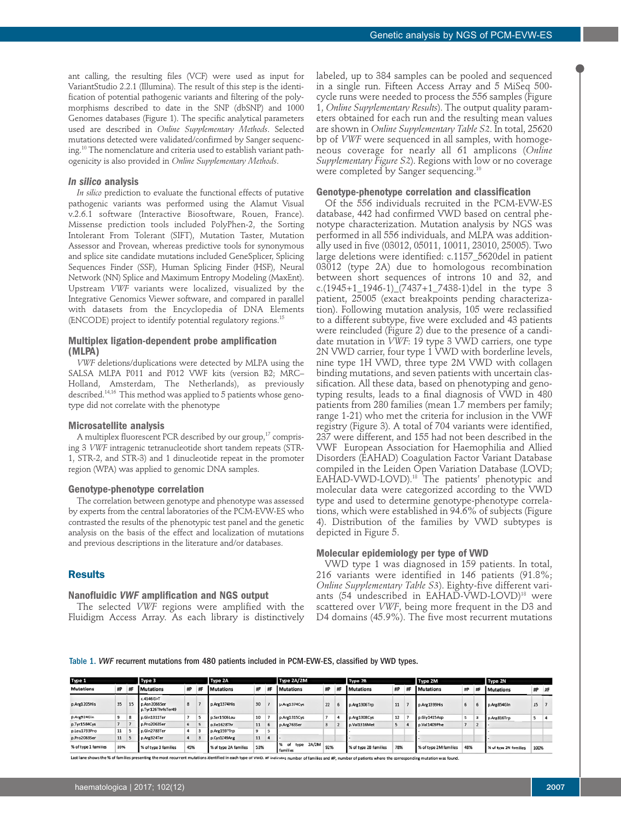ant calling, the resulting files (VCF) were used as input for VariantStudio 2.2.1 (Illumina). The result of this step is the identification of potential pathogenic variants and filtering of the polymorphisms described to date in the SNP (dbSNP) and 1000 Genomes databases (Figure 1). The specific analytical parameters used are described in *Online Supplementary Methods*. Selected mutations detected were validated/confirmed by Sanger sequencing.10 The nomenclature and criteria used to establish variant pathogenicity is also provided in *Online Supplementary Methods*.

## *In silico* **analysis**

*In silico* prediction to evaluate the functional effects of putative pathogenic variants was performed using the Alamut Visual v.2.6.1 software (Interactive Biosoftware, Rouen, France). Missense prediction tools included PolyPhen-2, the Sorting Intolerant From Tolerant (SIFT), Mutation Taster, Mutation Assessor and Provean, whereas predictive tools for synonymous and splice site candidate mutations included GeneSplicer, Splicing Sequences Finder (SSF), Human Splicing Finder (HSF), Neural Network (NN) Splice and Maximum Entropy Modeling (MaxEnt). Upstream *VWF* variants were localized, visualized by the Integrative Genomics Viewer software, and compared in parallel with datasets from the Encyclopedia of DNA Elements (ENCODE) project to identify potential regulatory regions.<sup>15</sup>

## **Multiplex ligation-dependent probe amplification (MLPA)**

*VWF* deletions/duplications were detected by MLPA using the SALSA MLPA P011 and P012 VWF kits (version B2; MRC– Holland, Amsterdam, The Netherlands), as previously described.<sup>14,16</sup> This method was applied to 5 patients whose genotype did not correlate with the phenotype

#### **Microsatellite analysis**

A multiplex fluorescent PCR described by our group, $17$  comprising 3 *VWF* intragenic tetranucleotide short tandem repeats (STR-1, STR-2, and STR-3) and 1 dinucleotide repeat in the promoter region (WPA) was applied to genomic DNA samples.

#### **Genotype-phenotype correlation**

The correlation between genotype and phenotype was assessed by experts from the central laboratories of the PCM-EVW-ES who contrasted the results of the phenotypic test panel and the genetic analysis on the basis of the effect and localization of mutations and previous descriptions in the literature and/or databases.

## **Results**

#### **Nanofluidic** *VWF* **amplification and NGS output**

The selected *VWF* regions were amplified with the Fluidigm Access Array. As each library is distinctively labeled, up to 384 samples can be pooled and sequenced in a single run. Fifteen Access Array and 5 MiSeq 500 cycle runs were needed to process the 556 samples (Figure 1, *Online Supplementary Results*). The output quality parameters obtained for each run and the resulting mean values are shown in *Online Supplementary Table S2*. In total, 25620 bp of *VWF* were sequenced in all samples, with homogeneous coverage for nearly all 61 amplicons (*Online Supplementary Figure S2*). Regions with low or no coverage were completed by Sanger sequencing.<sup>10</sup>

## **Genotype-phenotype correlation and classification**

Of the 556 individuals recruited in the PCM-EVW-ES database, 442 had confirmed VWD based on central phenotype characterization. Mutation analysis by NGS was performed in all 556 individuals, and MLPA was additionally used in five (03012, 05011, 10011, 23010, 25005). Two large deletions were identified: c.1157\_5620del in patient 03012 (type 2A) due to homologous recombination between short sequences of introns 10 and 32, and c.(1945+1\_1946-1)\_(7437+1\_7438-1)del in the type 3 patient, 25005 (exact breakpoints pending characterization). Following mutation analysis, 105 were reclassified to a different subtype, five were excluded and 43 patients were reincluded (Figure 2) due to the presence of a candidate mutation in *VWF*: 19 type 3 VWD carriers, one type 2N VWD carrier, four type 1 VWD with borderline levels, nine type 1H VWD, three type 2M VWD with collagen binding mutations, and seven patients with uncertain classification. All these data, based on phenotyping and genotyping results, leads to a final diagnosis of VWD in 480 patients from 280 families (mean 1.7 members per family; range 1-21) who met the criteria for inclusion in the VWF registry (Figure 3). A total of 704 variants were identified, 237 were different, and 155 had not been described in the VWF European Association for Haemophilia and Allied Disorders (EAHAD) Coagulation Factor Variant Database compiled in the Leiden Open Variation Database (LOVD; EAHAD-VWD-LOVD).18 The patients' phenotypic and molecular data were categorized according to the VWD type and used to determine genotype-phenotype correlations, which were established in 94.6% of subjects (Figure 4). Distribution of the families by VWD subtypes is depicted in Figure 5.

## **Molecular epidemiology per type of VWD**

VWD type 1 was diagnosed in 159 patients. In total, 216 variants were identified in 146 patients (91.8%; *Online Supplementary Table S3*). Eighty-five different variants (54 undescribed in EAHAD-VWD-LOVD)<sup>18</sup> were scattered over *VWF*, being more frequent in the D3 and D4 domains (45.9%). The five most recurrent mutations

Table 1. *VWF* recurrent mutations from 480 patients included in PCM-EVW-ES, classified by VWD types.

| Type 1                      |    |    | Type 3                                            |    |    | Type 2A               |    |     | Type 2A/2M                      |     |   | Type 2B               |     |  | Type 2M               |                |     | Type 2N               |      |       |
|-----------------------------|----|----|---------------------------------------------------|----|----|-----------------------|----|-----|---------------------------------|-----|---|-----------------------|-----|--|-----------------------|----------------|-----|-----------------------|------|-------|
| <b>Mutations</b>            | #P | #F | <b>Mutations</b>                                  | HP | #F | <b>Mutations</b>      | #P | #F  | <b>Mutations</b>                | #P  | # | <b>Mutations</b>      | #P  |  | <b>Mutations</b>      | #P             | 郱   | <b>Mutations</b>      |      | #P #F |
| p.Arg1205His                | 35 | 15 | c.4146G > T<br>p.Asn2066Ser<br>p.Tyr126ThrfsTer49 | 8  |    | p.Arg1374His          | 30 |     | p.Arg1374Cys                    | 22  |   | p.Arg1306Trp          | 11  |  | p.Arg1399His          | 6              | ь   | p.Arg854GIn           | 15   |       |
| p.Arg924Gin                 | 9  | c  | p.Gln1311Ter                                      |    |    | p.Ser1506Leu          | 10 |     | p.Arg1315Cys                    |     |   | p.Arg1308Cys          | 12  |  | p.Gly1415Asp          | 5              |     | p.Arg816Trp           |      |       |
| p.Tyr1584Cys                |    |    | p.Pro2063Ser                                      | 6  |    | p.lle1628Thr          | 11 |     | p.Arg763Ser                     | Б   |   | p.Val1316Met          | 5   |  | p.Val1409Phe          | $\overline{7}$ | z   |                       |      |       |
| p.Leu1733Pro                | 11 |    | p.Gln2783Ter                                      |    |    | p.Arg1597Trp          | 9  |     |                                 |     |   |                       |     |  |                       |                |     |                       |      |       |
| p.Pro2063Ser                | 11 |    | p.Arg324Ter                                       |    |    | p.Cys1149Arg          | 11 |     |                                 |     |   |                       |     |  |                       |                |     |                       |      |       |
| 39%<br>% of type 1 families |    |    | 45%<br>% of type 3 families                       |    |    | % of type 2A families |    | 53% | 2A/2M<br>type<br>of<br>families | 92% |   | % of type 2B families | 78% |  | % of type 2M families |                | 48% | % of type 2N families | 100% |       |

Last lane shows the % of families presenting the most recurrent mutations identified in each type of VWD. #F indicates number of families and #P, number of patients where the cor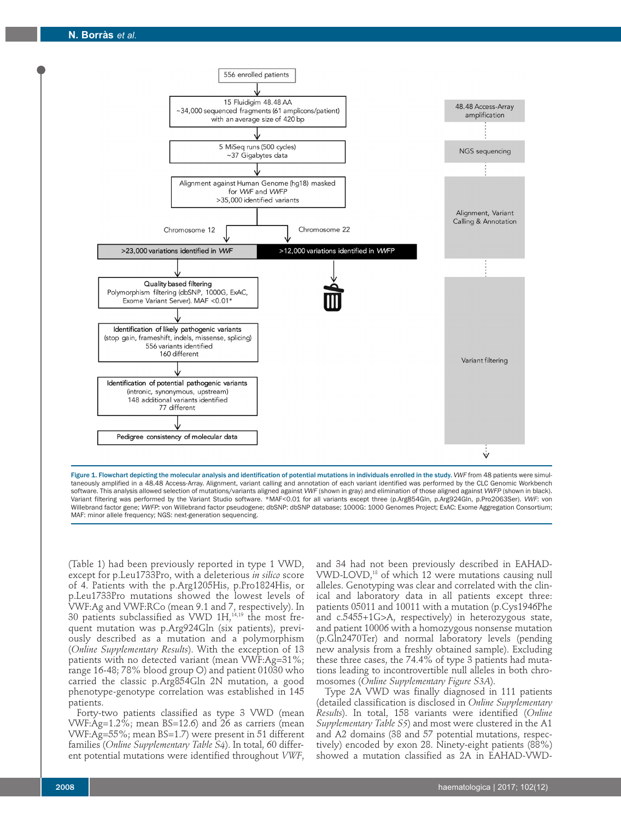

Figure 1. Flowchart depicting the molecular analysis and identification of potential mutations in individuals enrolled in the study. *VWF* from 48 patients were simultaneously amplified in a 48.48 Access-Array. Alignment, variant calling and annotation of each variant identified was performed by the CLC Genomic Workbench software. This analysis allowed selection of mutations/variants aligned against *VWF* (shown in gray) and elimination of those aligned against *VWFP* (shown in black). Variant filtering was performed by the Variant Studio software. \*MAF<0.01 for all variants except three (p.Arg854Gln, p.Arg924Gln, p.Pro2063Ser). *VWF*: von Willebrand factor gene; *VWFP*: von Willebrand factor pseudogene; dbSNP: dbSNP database; 1000G: 1000 Genomes Project; ExAC: Exome Aggregation Consortium; MAF: minor allele frequency; NGS: next-generation sequencing.

(Table 1) had been previously reported in type 1 VWD, except for p.Leu1733Pro, with a deleterious *in silico* score of 4. Patients with the p.Arg1205His, p.Pro1824His, or p.Leu1733Pro mutations showed the lowest levels of VWF:Ag and VWF:RCo (mean 9.1 and 7, respectively). In  $30$  patients subclassified as VWD 1H, $^{14,19}$  the most frequent mutation was p.Arg924Gln (six patients), previously described as a mutation and a polymorphism (*Online Supplementary Results*). With the exception of 13 patients with no detected variant (mean VWF:Ag=31%; range 16-48; 78% blood group O) and patient 01030 who carried the classic p.Arg854Gln 2N mutation, a good phenotype-genotype correlation was established in 145 patients.

Forty-two patients classified as type 3 VWD (mean VWF: $Ag=1.2\%$ ; mean BS=12.6) and 26 as carriers (mean VWF:Ag=55%; mean BS=1.7) were present in 51 different families (*Online Supplementary Table S4*). In total, 60 different potential mutations were identified throughout *VWF*,

and 34 had not been previously described in EAHAD-VWD-LOVD,<sup>18</sup> of which 12 were mutations causing null alleles. Genotyping was clear and correlated with the clinical and laboratory data in all patients except three: patients 05011 and 10011 with a mutation (p.Cys1946Phe and c.5455+1G>A, respectively) in heterozygous state, and patient 10006 with a homozygous nonsense mutation (p.Gln2470Ter) and normal laboratory levels (pending new analysis from a freshly obtained sample). Excluding these three cases, the 74.4% of type 3 patients had mutations leading to incontrovertible null alleles in both chromosomes (*Online Supplementary Figure S3A*).

Type 2A VWD was finally diagnosed in 111 patients (detailed classification is disclosed in *Online Supplementary Results*). In total, 158 variants were identified (*Online Supplementary Table S5*) and most were clustered in the A1 and A2 domains (38 and 57 potential mutations, respectively) encoded by exon 28. Ninety-eight patients (88%) showed a mutation classified as 2A in EAHAD-VWD-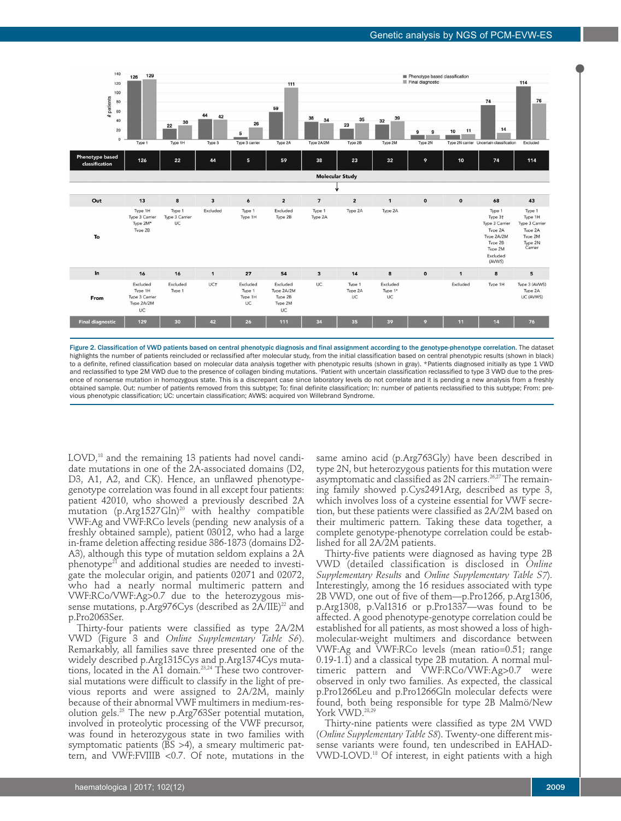

Figure 2. Classification of VWD patients based on central phenotypic diagnosis and final assignment according to the genotype-phenotype correlation. The dataset highlights the number of patients reincluded or reclassified after molecular study, from the initial classification based on central phenotypic results (shown in black) to a definite, refined classification based on molecular data analysis together with phenotypic results (shown in gray). \*Patients diagnosed initially as type 1 VWD and reclassified to type 2M VWD due to the presence of collagen binding mutations. †Patient with uncertain classification reclassified to type 3 VWD due to the presence of nonsense mutation in homozygous state. This is a discrepant case since laboratory levels do not correlate and it is pending a new analysis from a freshly obtained sample. Out: number of patients removed from this subtype; To: final definite classification; In: number of patients reclassified to this subtype; From: previous phenotypic classification; UC: uncertain classification; AVWS: acquired von Willebrand Syndrome.

LOVD,<sup>18</sup> and the remaining 13 patients had novel candidate mutations in one of the 2A-associated domains (D2, D3, A1, A2, and CK). Hence, an unflawed phenotypegenotype correlation was found in all except four patients: patient 42010, who showed a previously described 2A mutation (p.Arg1527Gln)<sup>20</sup> with healthy compatible VWF:Ag and VWF:RCo levels (pending new analysis of a freshly obtained sample), patient 03012, who had a large in-frame deletion affecting residue 386-1873 (domains D2- A3), although this type of mutation seldom explains a 2A  $phenotype<sup>21</sup>$  and additional studies are needed to investigate the molecular origin, and patients 02071 and 02072, who had a nearly normal multimeric pattern and VWF:RCo/VWF:Ag>0.7 due to the heterozygous missense mutations, p.Arg976Cys (described as 2A/IIE)<sup>22</sup> and p.Pro2063Ser.

Thirty-four patients were classified as type 2A/2M VWD (Figure 3 and *Online Supplementary Table S6*). Remarkably, all families save three presented one of the widely described p.Arg1315Cys and p.Arg1374Cys mutations, located in the A1 domain.<sup>23,24</sup> These two controversial mutations were difficult to classify in the light of previous reports and were assigned to 2A/2M, mainly because of their abnormal VWF multimers in medium-resolution gels.25 The new p.Arg763Ser potential mutation, involved in proteolytic processing of the VWF precursor, was found in heterozygous state in two families with symptomatic patients (BS >4), a smeary multimeric pattern, and VWF:FVIIIB <0.7. Of note, mutations in the

same amino acid (p.Arg763Gly) have been described in type 2N, but heterozygous patients for this mutation were asymptomatic and classified as 2N carriers.<sup>26,27</sup> The remaining family showed p.Cys2491Arg, described as type 3, which involves loss of a cysteine essential for VWF secretion, but these patients were classified as 2A/2M based on their multimeric pattern. Taking these data together, a complete genotype-phenotype correlation could be established for all 2A/2M patients.

Thirty-five patients were diagnosed as having type 2B VWD (detailed classification is disclosed in *Online Supplementary Results* and *Online Supplementary Table S7*). Interestingly, among the 16 residues associated with type 2B VWD, one out of five of them—p.Pro1266, p.Arg1306, p.Arg1308, p.Val1316 or p.Pro1337—was found to be affected. A good phenotype-genotype correlation could be established for all patients, as most showed a loss of highmolecular-weight multimers and discordance between VWF:Ag and VWF:RCo levels (mean ratio=0.51; range 0.19-1.1) and a classical type 2B mutation. A normal multimeric pattern and VWF:RCo/VWF:Ag>0.7 were observed in only two families. As expected, the classical p.Pro1266Leu and p.Pro1266Gln molecular defects were found, both being responsible for type 2B Malmö/New York VWD.<sup>28,29</sup>

Thirty-nine patients were classified as type 2M VWD (*Online Supplementary Table S8*). Twenty-one different missense variants were found, ten undescribed in EAHAD-VWD-LOVD.18 Of interest, in eight patients with a high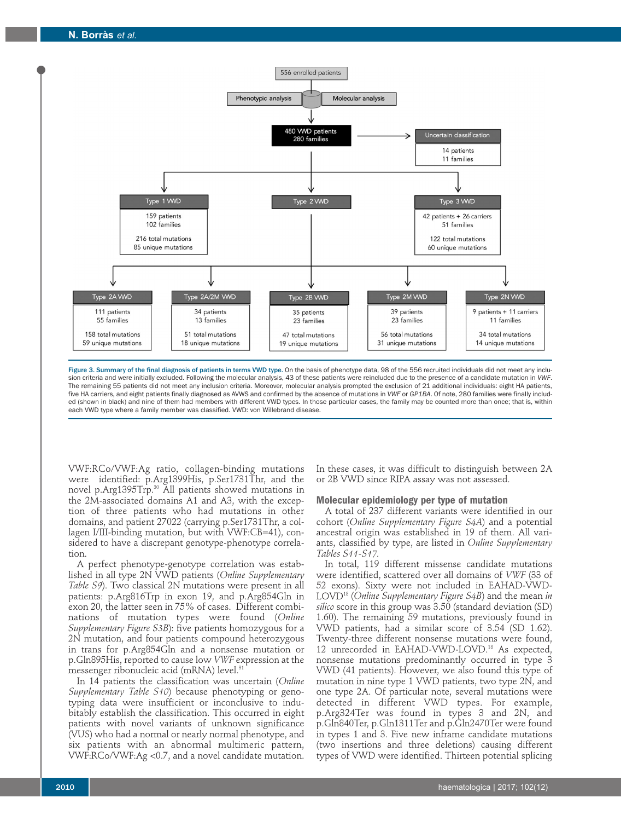

Figure 3. Summary of the final diagnosis of patients in terms VWD type. On the basis of phenotype data, 98 of the 556 recruited individuals did not meet any inclusion criteria and were initially excluded. Following the molecular analysis, 43 of these patients were reincluded due to the presence of a candidate mutation in *VWF*. The remaining 55 patients did not meet any inclusion criteria. Moreover, molecular analysis prompted the exclusion of 21 additional individuals: eight HA patients, five HA carriers, and eight patients finally diagnosed as AVWS and confirmed by the absence of mutations in *VWF* or *GP1BA*. Of note, 280 families were finally included (shown in black) and nine of them had members with different VWD types. In those particular cases, the family may be counted more than once; that is, within each VWD type where a family member was classified. VWD: von Willebrand disease.

VWF:RCo/VWF:Ag ratio, collagen-binding mutations were identified: p.Arg1399His, p.Ser1731Thr, and the novel p.Arg1395Trp.30 All patients showed mutations in the 2M-associated domains A1 and A3, with the exception of three patients who had mutations in other domains, and patient 27022 (carrying p.Ser1731Thr, a collagen I/III-binding mutation, but with VWF:CB=41), considered to have a discrepant genotype-phenotype correlation.

A perfect phenotype-genotype correlation was established in all type 2N VWD patients (*Online Supplementary Table S9*). Two classical 2N mutations were present in all patients: p.Arg816Trp in exon 19, and p.Arg854Gln in exon 20, the latter seen in 75% of cases. Different combinations of mutation types were found (*Online Supplementary Figure S3B*): five patients homozygous for a 2N mutation, and four patients compound heterozygous in trans for p.Arg854Gln and a nonsense mutation or p.Gln895His, reported to cause low *VWF* expression at the messenger ribonucleic acid (mRNA) level.<sup>31</sup>

In 14 patients the classification was uncertain (*Online Supplementary Table S10*) because phenotyping or genotyping data were insufficient or inconclusive to indubitably establish the classification. This occurred in eight patients with novel variants of unknown significance (VUS) who had a normal or nearly normal phenotype, and six patients with an abnormal multimeric pattern, VWF:RCo/VWF:Ag <0.7, and a novel candidate mutation.

In these cases, it was difficult to distinguish between 2A or 2B VWD since RIPA assay was not assessed.

#### **Molecular epidemiology per type of mutation**

A total of 237 different variants were identified in our cohort (*Online Supplementary Figure S4A*) and a potential ancestral origin was established in 19 of them. All variants, classified by type, are listed in *Online Supplementary Tables S11-S17.* 

In total, 119 different missense candidate mutations were identified, scattered over all domains of *VWF* (33 of 52 exons). Sixty were not included in EAHAD-VWD-LOVD18 (*Online Supplementary Figure S4B*) and the mean *in silico* score in this group was 3.50 (standard deviation (SD) 1.60). The remaining 59 mutations, previously found in VWD patients, had a similar score of 3.54 (SD 1.62). Twenty-three different nonsense mutations were found, 12 unrecorded in EAHAD-VWD-LOVD.<sup>18</sup> As expected, nonsense mutations predominantly occurred in type 3 VWD (41 patients). However, we also found this type of mutation in nine type 1 VWD patients, two type 2N, and one type 2A. Of particular note, several mutations were detected in different VWD types. For example, p.Arg324Ter was found in types 3 and 2N, and p.Gln840Ter, p.Gln1311Ter and p.Gln2470Ter were found in types 1 and 3. Five new inframe candidate mutations (two insertions and three deletions) causing different types of VWD were identified. Thirteen potential splicing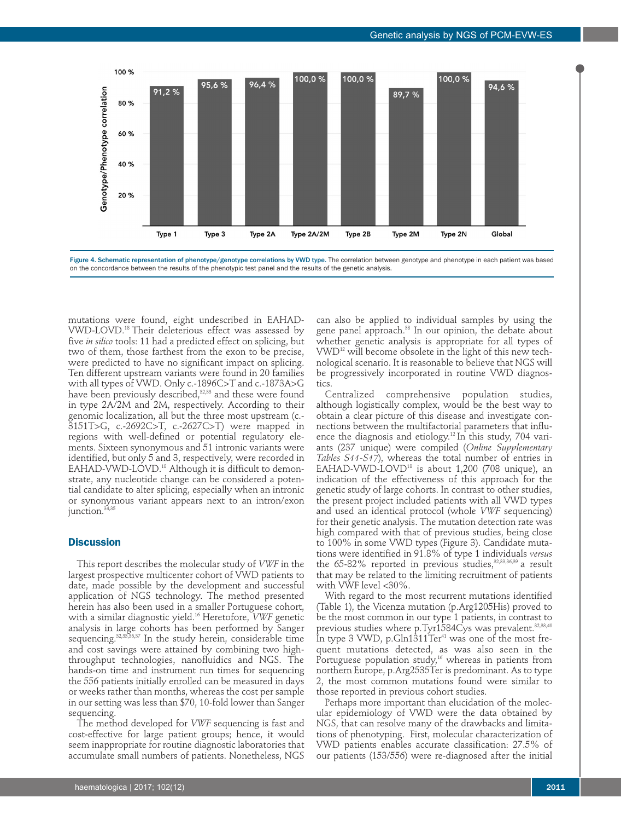

Figure 4. Schematic representation of phenotype/genotype correlations by VWD type. The correlation between genotype and phenotype in each patient was based on the concordance between the results of the phenotypic test panel and the results of the genetic analysis.

mutations were found, eight undescribed in EAHAD-VWD-LOVD.18 Their deleterious effect was assessed by five *in silico* tools: 11 had a predicted effect on splicing, but two of them, those farthest from the exon to be precise, were predicted to have no significant impact on splicing. Ten different upstream variants were found in 20 families with all types of VWD. Only c.-1896C>T and c.-1873A>G have been previously described,<sup>32,33</sup> and these were found in type 2A/2M and 2M, respectively. According to their genomic localization, all but the three most upstream (c.- 3151T>G, c.-2692C>T, c.-2627C>T) were mapped in regions with well-defined or potential regulatory elements. Sixteen synonymous and 51 intronic variants were identified, but only 5 and 3, respectively, were recorded in EAHAD-VWD-LOVD.<sup>18</sup> Although it is difficult to demonstrate, any nucleotide change can be considered a potential candidate to alter splicing, especially when an intronic or synonymous variant appears next to an intron/exon junction.<sup>34,35</sup>

## **Discussion**

This report describes the molecular study of *VWF* in the largest prospective multicenter cohort of VWD patients to date, made possible by the development and successful application of NGS technology. The method presented herein has also been used in a smaller Portuguese cohort, with a similar diagnostic yield.16 Heretofore, *VWF* genetic analysis in large cohorts has been performed by Sanger sequencing.<sup>32,33,36,37</sup> In the study herein, considerable time and cost savings were attained by combining two highthroughput technologies, nanofluidics and NGS. The hands-on time and instrument run times for sequencing the 556 patients initially enrolled can be measured in days or weeks rather than months, whereas the cost per sample in our setting was less than \$70, 10-fold lower than Sanger sequencing.

The method developed for *VWF* sequencing is fast and cost-effective for large patient groups; hence, it would seem inappropriate for routine diagnostic laboratories that accumulate small numbers of patients. Nonetheless, NGS

can also be applied to individual samples by using the gene panel approach.<sup>38</sup> In our opinion, the debate about whether genetic analysis is appropriate for all types of VWD12 will become obsolete in the light of this new technological scenario. It is reasonable to believe that NGS will be progressively incorporated in routine VWD diagnostics.

Centralized comprehensive population studies, although logistically complex, would be the best way to obtain a clear picture of this disease and investigate connections between the multifactorial parameters that influence the diagnosis and etiology.<sup>12</sup> In this study, 704 variants (237 unique) were compiled (*Online Supplementary Tables S11-S17*), whereas the total number of entries in EAHAD-VWD-LOVD18 is about 1,200 (708 unique), an indication of the effectiveness of this approach for the genetic study of large cohorts. In contrast to other studies, the present project included patients with all VWD types and used an identical protocol (whole *VWF* sequencing) for their genetic analysis. The mutation detection rate was high compared with that of previous studies, being close to 100% in some VWD types (Figure 3). Candidate mutations were identified in 91.8% of type 1 individuals *versus* the  $65-82\%$  reported in previous studies, $32,33,36,39$  a result that may be related to the limiting recruitment of patients with VWF level <30%.

With regard to the most recurrent mutations identified (Table 1), the Vicenza mutation (p.Arg1205His) proved to be the most common in our type 1 patients, in contrast to previous studies where p.Tyr1584Cys was prevalent.<sup>32,33,40</sup> In type 3 VWD, p. $Gln1311Ter^{41}$  was one of the most frequent mutations detected, as was also seen in the Portuguese population study,<sup>16</sup> whereas in patients from northern Europe, p.Arg2535Ter is predominant. As to type 2, the most common mutations found were similar to those reported in previous cohort studies.

Perhaps more important than elucidation of the molecular epidemiology of VWD were the data obtained by NGS, that can resolve many of the drawbacks and limitations of phenotyping. First, molecular characterization of VWD patients enables accurate classification: 27.5% of our patients (153/556) were re-diagnosed after the initial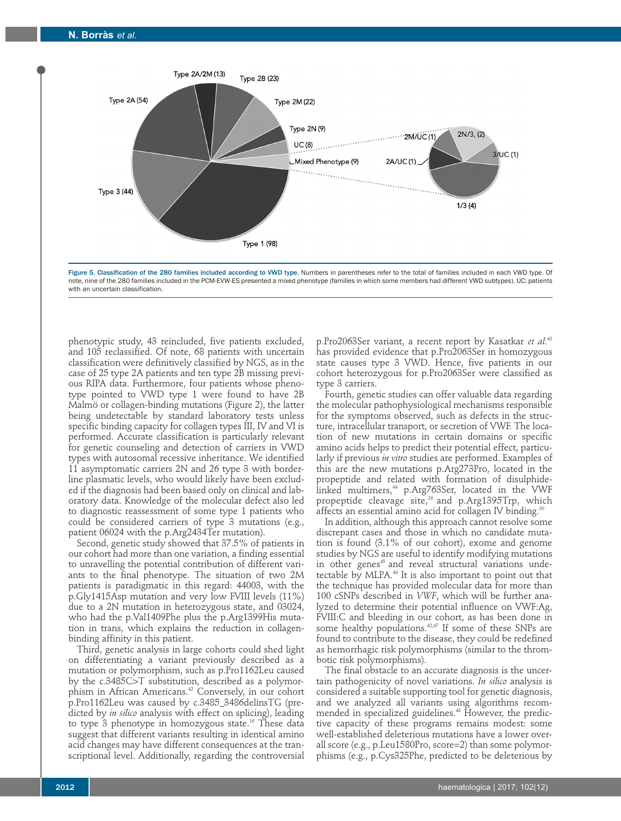



phenotypic study, 43 reincluded, five patients excluded, and 105 reclassified. Of note, 68 patients with uncertain classification were definitively classified by NGS, as in the case of 25 type 2A patients and ten type 2B missing previous RIPA data. Furthermore, four patients whose phenotype pointed to VWD type 1 were found to have 2B Malmö or collagen-binding mutations (Figure 2), the latter being undetectable by standard laboratory tests unless specific binding capacity for collagen types III, IV and VI is performed. Accurate classification is particularly relevant for genetic counseling and detection of carriers in VWD types with autosomal recessive inheritance. We identified 11 asymptomatic carriers 2N and 26 type 3 with borderline plasmatic levels, who would likely have been excluded if the diagnosis had been based only on clinical and laboratory data. Knowledge of the molecular defect also led to diagnostic reassessment of some type 1 patients who could be considered carriers of type 3 mutations (e.g., patient 06024 with the p.Arg2434Ter mutation).

Second, genetic study showed that 37.5% of patients in our cohort had more than one variation, a finding essential to unravelling the potential contribution of different variants to the final phenotype. The situation of two 2M patients is paradigmatic in this regard: 44003, with the p.Gly1415Asp mutation and very low FVIII levels (11%) due to a 2N mutation in heterozygous state, and 03024, who had the p.Val1409Phe plus the p.Arg1399His mutation in trans, which explains the reduction in collagenbinding affinity in this patient.

Third, genetic analysis in large cohorts could shed light on differentiating a variant previously described as a mutation or polymorphism, such as p.Pro1162Leu caused by the c.3485C>T substitution, described as a polymorphism in African Americans.<sup>42</sup> Conversely, in our cohort p.Pro1162Leu was caused by c.3485\_3486delinsTG (predicted by *in silico* analysis with effect on splicing), leading to type 3 phenotype in homozygous state.<sup>16</sup> These data suggest that different variants resulting in identical amino acid changes may have different consequences at the transcriptional level. Additionally, regarding the controversial

p.Pro2063Ser variant, a recent report by Kasatkar *et al*. 43 has provided evidence that p.Pro2063Ser in homozygous state causes type 3 VWD. Hence, five patients in our cohort heterozygous for p.Pro2063Ser were classified as type 3 carriers.

Fourth, genetic studies can offer valuable data regarding the molecular pathophysiological mechanisms responsible for the symptoms observed, such as defects in the structure, intracellular transport, or secretion of VWF. The location of new mutations in certain domains or specific amino acids helps to predict their potential effect, particularly if previous *in vitro* studies are performed. Examples of this are the new mutations p.Arg273Pro, located in the propeptide and related with formation of disulphidelinked multimers,<sup>44</sup> p.Arg763Ser, located in the VWF propeptide cleavage site,<sup>26</sup> and p.Arg1395Trp, which affects an essential amino acid for collagen IV binding.<sup>30</sup>

In addition, although this approach cannot resolve some discrepant cases and those in which no candidate mutation is found (3.1% of our cohort), exome and genome studies by NGS are useful to identify modifying mutations in other genes<sup>45</sup> and reveal structural variations undetectable by MLPA.<sup>46</sup> It is also important to point out that the technique has provided molecular data for more than 100 cSNPs described in *VWF*, which will be further analyzed to determine their potential influence on VWF:Ag, FVIII:C and bleeding in our cohort, as has been done in some healthy populations.<sup>42,47</sup> If some of these SNPs are found to contribute to the disease, they could be redefined as hemorrhagic risk polymorphisms (similar to the thrombotic risk polymorphisms).

The final obstacle to an accurate diagnosis is the uncertain pathogenicity of novel variations. *In silico* analysis is considered a suitable supporting tool for genetic diagnosis, and we analyzed all variants using algorithms recommended in specialized guidelines.<sup>48</sup> However, the predictive capacity of these programs remains modest: some well-established deleterious mutations have a lower overall score (e.g., p.Leu1580Pro, score=2) than some polymorphisms (e.g., p.Cys325Phe, predicted to be deleterious by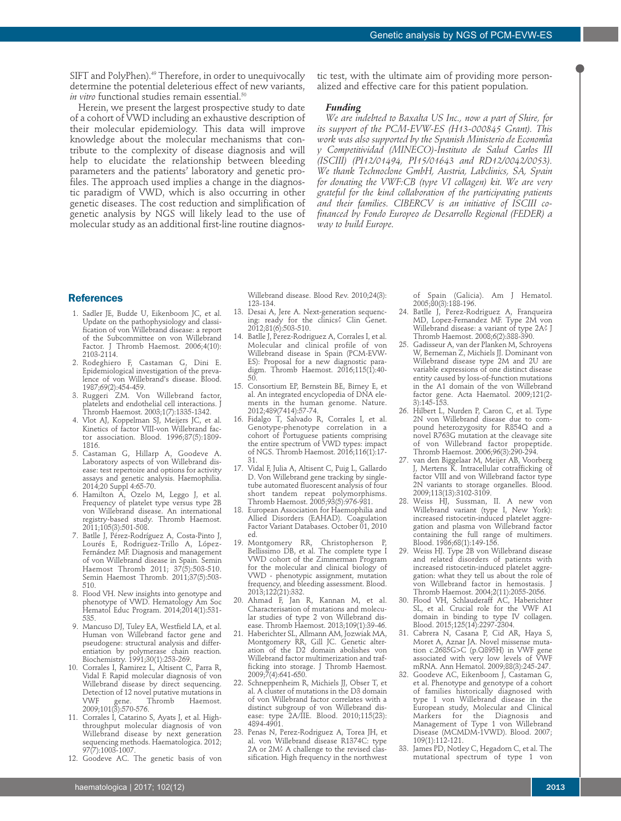SIFT and PolyPhen).<sup>49</sup> Therefore, in order to unequivocally determine the potential deleterious effect of new variants, *in vitro* functional studies remain essential.<sup>50</sup>

Herein, we present the largest prospective study to date of a cohort of VWD including an exhaustive description of their molecular epidemiology. This data will improve knowledge about the molecular mechanisms that contribute to the complexity of disease diagnosis and will help to elucidate the relationship between bleeding parameters and the patients' laboratory and genetic profiles. The approach used implies a change in the diagnostic paradigm of VWD, which is also occurring in other genetic diseases. The cost reduction and simplification of genetic analysis by NGS will likely lead to the use of molecular study as an additional first-line routine diagnostic test, with the ultimate aim of providing more personalized and effective care for this patient population.

#### *Funding*

*We are indebted to Baxalta US Inc., now a part of Shire, for its support of the PCM-EVW-ES (H13-000845 Grant). This work was also supported by the Spanish Ministerio de Economia*́ *y Competitividad (MINECO)-Instituto de Salud Carlos III (ISCIII) (PI12/01494, PI15/01643 and RD12/0042/0053). We thank Technoclone GmbH, Austria, Labclinics, SA, Spain for donating the VWF:CB (type VI collagen) kit. We are very grateful for the kind collaboration of the participating patients and their families. CIBERCV is an initiative of ISCIII cofinanced by Fondo Europeo de Desarrollo Regional (FEDER) a way to build Europe.* 

## **References**

- 1. Sadler JE, Budde U, Eikenboom JC, et al. Update on the pathophysiology and classification of von Willebrand disease: a report of the Subcommittee on von Willebrand Factor. J Thromb Haemost. 2006;4(10): 2103-2114.
- 2. Rodeghiero F, Castaman G, Dini E. Epidemiological investigation of the prevalence of von Willebrand's disease. Blood. 1987;69(2):454-459.
- 3. Ruggeri ZM. Von Willebrand factor, platelets and endothelial cell interactions. J Thromb Haemost. 2003;1(7):1335-1342.
- 4. Vlot AJ, Koppelman SJ, Meijers JC, et al. Kinetics of factor VIII-von Willebrand factor association. Blood. 1996;87(5):1809- 1816.
- 5. Castaman G, Hillarp A, Goodeve A. Laboratory aspects of von Willebrand disease: test repertoire and options for activity assays and genetic analysis. Haemophilia. 2014;20 Suppl 4:65-70.
- 6. Hamilton A, Ozelo M, Leggo J, et al. Frequency of platelet type versus type 2B von Willebrand disease. An international registry-based study. Thromb Haemost. 2011;105(3):501-508.
- 7. Batlle J, Pérez-Rodríguez A, Costa-Pinto J, Lourés E, Rodriguez-Trillo A, López-Fernández MF. Diagnosis and management of von Willebrand disease in Spain. Semin Haemost Thromb 2011; 37(5):503-510. Semin Haemost Thromb. 2011;37(5):503- 510.
- 8. Flood VH. New insights into genotype and phenotype of VWD. Hematology Am Soc Hematol Educ Program. 2014;2014(1):531- 535.
- 9. Mancuso DJ, Tuley EA, Westfield LA, et al. Human von Willebrand factor gene and pseudogene: structural analysis and differentiation by polymerase chain reaction. Biochemistry. 1991;30(1):253-269.
- 10. Corrales I, Ramirez L, Altisent C, Parra R, Vidal F. Rapid molecular diagnosis of von Willebrand disease by direct sequencing. Detection of 12 novel putative mutations in<br>VWF gene. Thromb Haemost. VWF gene. Thromb Haemost. 2009;101(3):570-576.
- 11. Corrales I, Catarino S, Ayats J, et al. Highthroughput molecular diagnosis of von Willebrand disease by next generation sequencing methods. Haematologica. 2012; 97(7):1003-1007.
- 12. Goodeve AC. The genetic basis of von

Willebrand disease. Blood Rev. 2010;24(3): 123-134.

- 13. Desai A, Jere A. Next-generation sequencing: ready for the clinics? Clin Genet. 2012;81(6):503-510.
- 14. Batlle J, Perez-Rodriguez A, Corrales I, et al. Molecular and clinical profile of von Willebrand disease in Spain (PCM-EVW-ES): Proposal for a new diagnostic paradigm. Thromb Haemost. 2016;115(1):40- 50.
- 15. Consortium EP, Bernstein BE, Birney E, et al. An integrated encyclopedia of DNA elements in the human genome. Nature. 2012;489(7414):57-74.
- 16. Fidalgo T, Salvado R, Corrales I, et al. Genotype-phenotype correlation in a cohort of Portuguese patients comprising the entire spectrum of VWD types: impact of NGS. Thromb Haemost. 2016;116(1):17- 31.
- 17. Vidal F, Julia A, Altisent C, Puig L, Gallardo D. Von Willebrand gene tracking by singletube automated fluorescent analysis of four short tandem repeat polymorphisms. Thromb Haemost. 2005;93(5):976-981.
- 18. European Association for Haemophilia and Allied Disorders (EAHAD). Coagulation Factor Variant Databases. October 01, 2010 ed.
- 19. Montgomery RR, Christopherson P, Bellissimo DB, et al. The complete type I VWD cohort of the Zimmerman Program for the molecular and clinical biology of VWD - phenotypic assignment, mutation frequency, and bleeding assessment. Blood. 2013;122(21):332.
- 20. Ahmad F, Jan R, Kannan M, et al. Characterisation of mutations and molecular studies of type 2 von Willebrand disease. Thromb Haemost. 2013;109(1):39-46.
- 21. Haberichter SL, Allmann AM, Jozwiak MA, Montgomery RR, Gill JC. Genetic alteration of the D2 domain abolishes von Willebrand factor multimerization and trafficking into storage. J Thromb Haemost. 2009;7(4):641-650.
- 22. Schneppenheim R, Michiels JJ, Obser T, et al. A cluster of mutations in the D3 domain of von Willebrand factor correlates with a distinct subgroup of von Willebrand disease: type 2A/IIE. Blood. 2010;115(23): 4894-4901.
- 23. Penas N, Perez-Rodriguez A, Torea JH, et al. von Willebrand disease R1374C: type 2A or 2M<sup>2</sup> A challenge to the revised classification. High frequency in the northwest

of Spain (Galicia). Am J Hematol. 2005;80(3):188-196.

- 24. Batlle J, Perez-Rodriguez A, Franqueira MD, Lopez-Fernandez MF. Type 2M von Willebrand disease: a variant of type 2A? J Thromb Haemost. 2008;6(2):388-390.
- 25. Gadisseur A, van der Planken M, Schroyens W, Berneman Z, Michiels JJ. Dominant von Willebrand disease type 2M and 2U are variable expressions of one distinct disease entity caused by loss-of-function mutations in the A1 domain of the von Willebrand factor gene. Acta Haematol. 2009;121(2- 3):145-153.
- 26. Hilbert L, Nurden P, Caron C, et al. Type 2N von Willebrand disease due to compound heterozygosity for R854Q and a novel R763G mutation at the cleavage site of von Willebrand factor propeptide. Thromb Haemost. 2006;96(3):290-294.
- 27. van den Biggelaar M, Meijer AB, Voorberg J, Mertens K. Intracellular cotrafficking of factor VIII and von Willebrand factor type 2N variants to storage organelles. Blood. 2009;113(13):3102-3109.
- 28. Weiss HJ, Sussman, II. A new von Willebrand variant (type I, New York): increased ristocetin-induced platelet aggregation and plasma von Willebrand factor containing the full range of multimers. Blood. 1986;68(1):149-156.
- 29. Weiss HJ. Type 2B von Willebrand disease and related disorders of patients with increased ristocetin-induced platelet aggregation: what they tell us about the role of von Willebrand factor in hemostasis. J Thromb Haemost. 2004;2(11):2055-2056.
- 30. Flood VH, Schlauderaff AC, Haberichter SL, et al. Crucial role for the VWF A1 domain in binding to type IV collagen. Blood. 2015;125(14):2297-2304.
- 31. Cabrera N, Casana P, Cid AR, Haya S, Moret A, Aznar JA. Novel missense mutation c.2685G>C (p.Q895H) in VWF gene associated with very low levels of VWF mRNA. Ann Hematol. 2009;88(3):245-247.
- 32. Goodeve AC, Eikenboom J, Castaman G, et al. Phenotype and genotype of a cohort of families historically diagnosed with type 1 von Willebrand disease in the European study, Molecular and Clinical Markers for the Diagnosis and Management of Type 1 von Willebrand Disease (MCMDM-1VWD). Blood. 2007; 109(1):112-121.
- 33. James PD, Notley C, Hegadorn C, et al. The mutational spectrum of type 1 von